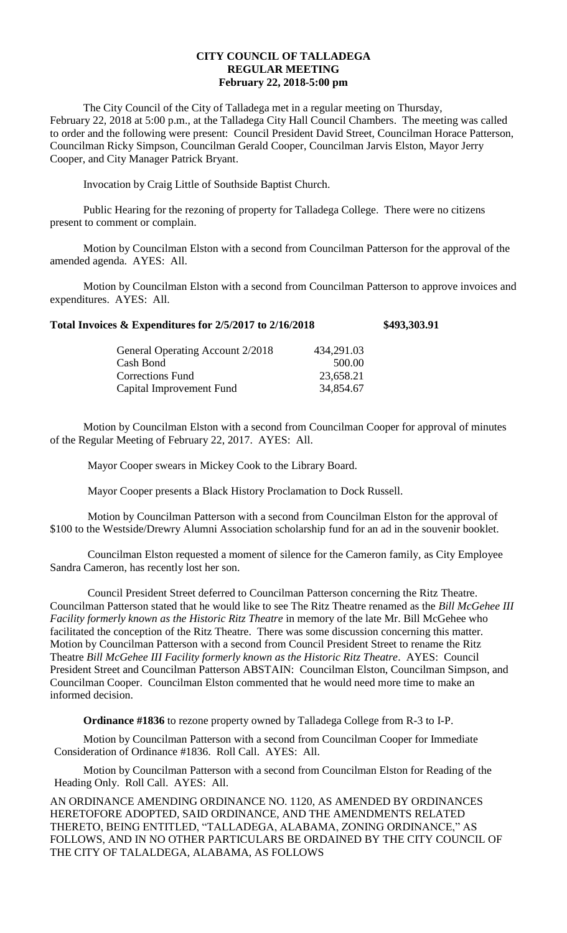## **CITY COUNCIL OF TALLADEGA REGULAR MEETING February 22, 2018-5:00 pm**

The City Council of the City of Talladega met in a regular meeting on Thursday, February 22, 2018 at 5:00 p.m., at the Talladega City Hall Council Chambers. The meeting was called to order and the following were present: Council President David Street, Councilman Horace Patterson, Councilman Ricky Simpson, Councilman Gerald Cooper, Councilman Jarvis Elston, Mayor Jerry Cooper, and City Manager Patrick Bryant.

Invocation by Craig Little of Southside Baptist Church.

Public Hearing for the rezoning of property for Talladega College. There were no citizens present to comment or complain.

Motion by Councilman Elston with a second from Councilman Patterson for the approval of the amended agenda. AYES: All.

Motion by Councilman Elston with a second from Councilman Patterson to approve invoices and expenditures. AYES: All.

| Total Invoices & Expenditures for 2/5/2017 to 2/16/2018 | \$493,303.91 |
|---------------------------------------------------------|--------------|
|---------------------------------------------------------|--------------|

| General Operating Account 2/2018 | 434,291.03 |
|----------------------------------|------------|
| Cash Bond                        | 500.00     |
| <b>Corrections Fund</b>          | 23,658.21  |
| Capital Improvement Fund         | 34,854.67  |

Motion by Councilman Elston with a second from Councilman Cooper for approval of minutes of the Regular Meeting of February 22, 2017. AYES: All.

Mayor Cooper swears in Mickey Cook to the Library Board.

Mayor Cooper presents a Black History Proclamation to Dock Russell.

Motion by Councilman Patterson with a second from Councilman Elston for the approval of \$100 to the Westside/Drewry Alumni Association scholarship fund for an ad in the souvenir booklet.

Councilman Elston requested a moment of silence for the Cameron family, as City Employee Sandra Cameron, has recently lost her son.

Council President Street deferred to Councilman Patterson concerning the Ritz Theatre. Councilman Patterson stated that he would like to see The Ritz Theatre renamed as the *Bill McGehee III Facility formerly known as the Historic Ritz Theatre* in memory of the late Mr. Bill McGehee who facilitated the conception of the Ritz Theatre. There was some discussion concerning this matter. Motion by Councilman Patterson with a second from Council President Street to rename the Ritz Theatre *Bill McGehee III Facility formerly known as the Historic Ritz Theatre*. AYES: Council President Street and Councilman Patterson ABSTAIN: Councilman Elston, Councilman Simpson, and Councilman Cooper. Councilman Elston commented that he would need more time to make an informed decision.

**Ordinance #1836** to rezone property owned by Talladega College from R-3 to I-P.

Motion by Councilman Patterson with a second from Councilman Cooper for Immediate Consideration of Ordinance #1836. Roll Call. AYES: All.

Motion by Councilman Patterson with a second from Councilman Elston for Reading of the Heading Only. Roll Call. AYES: All.

AN ORDINANCE AMENDING ORDINANCE NO. 1120, AS AMENDED BY ORDINANCES HERETOFORE ADOPTED, SAID ORDINANCE, AND THE AMENDMENTS RELATED THERETO, BEING ENTITLED, "TALLADEGA, ALABAMA, ZONING ORDINANCE," AS FOLLOWS, AND IN NO OTHER PARTICULARS BE ORDAINED BY THE CITY COUNCIL OF THE CITY OF TALALDEGA, ALABAMA, AS FOLLOWS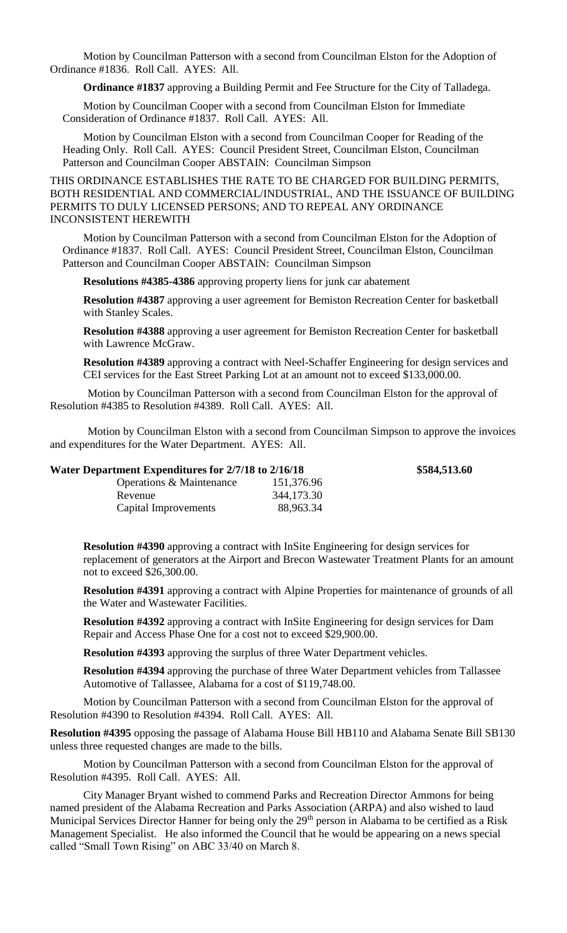Motion by Councilman Patterson with a second from Councilman Elston for the Adoption of Ordinance #1836. Roll Call. AYES: All.

**Ordinance #1837** approving a Building Permit and Fee Structure for the City of Talladega.

Motion by Councilman Cooper with a second from Councilman Elston for Immediate Consideration of Ordinance #1837. Roll Call. AYES: All.

Motion by Councilman Elston with a second from Councilman Cooper for Reading of the Heading Only. Roll Call. AYES: Council President Street, Councilman Elston, Councilman Patterson and Councilman Cooper ABSTAIN: Councilman Simpson

THIS ORDINANCE ESTABLISHES THE RATE TO BE CHARGED FOR BUILDING PERMITS, BOTH RESIDENTIAL AND COMMERCIAL/INDUSTRIAL, AND THE ISSUANCE OF BUILDING PERMITS TO DULY LICENSED PERSONS; AND TO REPEAL ANY ORDINANCE INCONSISTENT HEREWITH

Motion by Councilman Patterson with a second from Councilman Elston for the Adoption of Ordinance #1837. Roll Call. AYES: Council President Street, Councilman Elston, Councilman Patterson and Councilman Cooper ABSTAIN: Councilman Simpson

**Resolutions #4385-4386** approving property liens for junk car abatement

**Resolution #4387** approving a user agreement for Bemiston Recreation Center for basketball with Stanley Scales.

**Resolution #4388** approving a user agreement for Bemiston Recreation Center for basketball with Lawrence McGraw.

**Resolution #4389** approving a contract with Neel-Schaffer Engineering for design services and CEI services for the East Street Parking Lot at an amount not to exceed \$133,000.00.

Motion by Councilman Patterson with a second from Councilman Elston for the approval of Resolution #4385 to Resolution #4389. Roll Call. AYES: All.

Motion by Councilman Elston with a second from Councilman Simpson to approve the invoices and expenditures for the Water Department. AYES: All.

| Water Department Expenditures for 2/7/18 to 2/16/18 |            |  |
|-----------------------------------------------------|------------|--|
| Operations & Maintenance                            | 151,376.96 |  |
| Revenue                                             | 344,173.30 |  |
| Capital Improvements                                | 88,963.34  |  |

**Resolution #4390** approving a contract with InSite Engineering for design services for replacement of generators at the Airport and Brecon Wastewater Treatment Plants for an amount not to exceed \$26,300.00.

**Water Department Expenditures for 2/7/18 to 2/16/18 \$584,513.60**

**Resolution #4391** approving a contract with Alpine Properties for maintenance of grounds of all the Water and Wastewater Facilities.

**Resolution #4392** approving a contract with InSite Engineering for design services for Dam Repair and Access Phase One for a cost not to exceed \$29,900.00.

**Resolution #4393** approving the surplus of three Water Department vehicles.

**Resolution #4394** approving the purchase of three Water Department vehicles from Tallassee Automotive of Tallassee, Alabama for a cost of \$119,748.00.

Motion by Councilman Patterson with a second from Councilman Elston for the approval of Resolution #4390 to Resolution #4394. Roll Call. AYES: All.

**Resolution #4395** opposing the passage of Alabama House Bill HB110 and Alabama Senate Bill SB130 unless three requested changes are made to the bills.

Motion by Councilman Patterson with a second from Councilman Elston for the approval of Resolution #4395. Roll Call. AYES: All.

City Manager Bryant wished to commend Parks and Recreation Director Ammons for being named president of the Alabama Recreation and Parks Association (ARPA) and also wished to laud Municipal Services Director Hanner for being only the 29<sup>th</sup> person in Alabama to be certified as a Risk Management Specialist. He also informed the Council that he would be appearing on a news special called "Small Town Rising" on ABC 33/40 on March 8.